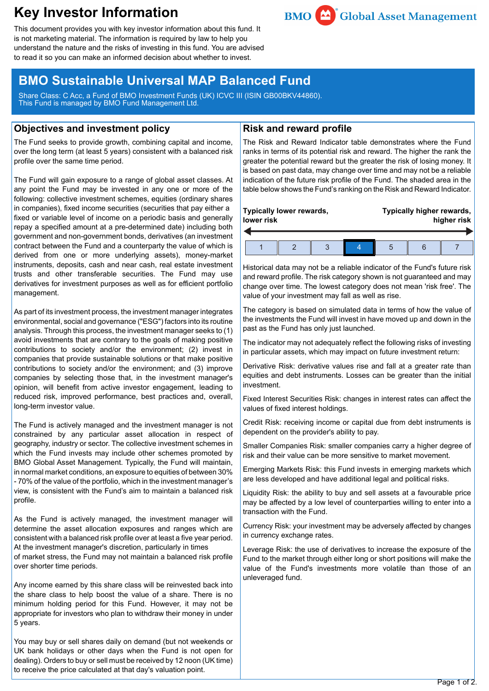# **Key Investor Information**



This document provides you with key investor information about this fund. It is not marketing material. The information is required by law to help you understand the nature and the risks of investing in this fund. You are advised to read it so you can make an informed decision about whether to invest.

## **BMO Sustainable Universal MAP Balanced Fund**

Share Class: C Acc, a Fund of BMO Investment Funds (UK) ICVC III (ISIN GB00BKV44860). This Fund is managed by BMO Fund Management Ltd.

### **Objectives and investment policy**

The Fund seeks to provide growth, combining capital and income, over the long term (at least 5 years) consistent with a balanced risk profile over the same time period.

The Fund will gain exposure to a range of global asset classes. At any point the Fund may be invested in any one or more of the following: collective investment schemes, equities (ordinary shares in companies), fixed income securities (securities that pay either a fixed or variable level of income on a periodic basis and generally repay a specified amount at a pre-determined date) including both government and non-government bonds, derivatives (an investment contract between the Fund and a counterparty the value of which is derived from one or more underlying assets), money-market instruments, deposits, cash and near cash, real estate investment trusts and other transferable securities. The Fund may use derivatives for investment purposes as well as for efficient portfolio management.

As part of its investment process, the investment manager integrates environmental, social and governance ("ESG") factors into its routine analysis. Through this process, the investment manager seeks to (1) avoid investments that are contrary to the goals of making positive contributions to society and/or the environment; (2) invest in companies that provide sustainable solutions or that make positive contributions to society and/or the environment; and (3) improve companies by selecting those that, in the investment manager's opinion, will benefit from active investor engagement, leading to reduced risk, improved performance, best practices and, overall, long-term investor value.

The Fund is actively managed and the investment manager is not constrained by any particular asset allocation in respect of geography, industry or sector. The collective investment schemes in which the Fund invests may include other schemes promoted by BMO Global Asset Management. Typically, the Fund will maintain, in normal market conditions, an exposure to equities of between 30% - 70% of the value of the portfolio, which in the investment manager's view, is consistent with the Fund's aim to maintain a balanced risk profile.

As the Fund is actively managed, the investment manager will determine the asset allocation exposures and ranges which are consistent with a balanced risk profile over at least a five year period. At the investment manager's discretion, particularly in times of market stress, the Fund may not maintain a balanced risk profile over shorter time periods.

Any income earned by this share class will be reinvested back into the share class to help boost the value of a share. There is no minimum holding period for this Fund. However, it may not be appropriate for investors who plan to withdraw their money in under 5 years.

You may buy or sell shares daily on demand (but not weekends or UK bank holidays or other days when the Fund is not open for dealing). Orders to buy or sell must be received by 12 noon (UK time) to receive the price calculated at that day's valuation point.

### **Risk and reward profile**

The Risk and Reward Indicator table demonstrates where the Fund ranks in terms of its potential risk and reward. The higher the rank the greater the potential reward but the greater the risk of losing money. It is based on past data, may change over time and may not be a reliable indication of the future risk profile of the Fund. The shaded area in the table below shows the Fund's ranking on the Risk and Reward Indicator.

| Typically lower rewards, |  |  |  |  | Typically higher rewards, |  |  |
|--------------------------|--|--|--|--|---------------------------|--|--|
| lower risk               |  |  |  |  | higher risk               |  |  |
|                          |  |  |  |  |                           |  |  |

Historical data may not be a reliable indicator of the Fund's future risk and reward profile. The risk category shown is not guaranteed and may change over time. The lowest category does not mean 'risk free'. The value of your investment may fall as well as rise.

The category is based on simulated data in terms of how the value of the investments the Fund will invest in have moved up and down in the past as the Fund has only just launched.

The indicator may not adequately reflect the following risks of investing in particular assets, which may impact on future investment return:

Derivative Risk: derivative values rise and fall at a greater rate than equities and debt instruments. Losses can be greater than the initial investment.

Fixed Interest Securities Risk: changes in interest rates can affect the values of fixed interest holdings.

Credit Risk: receiving income or capital due from debt instruments is dependent on the provider's ability to pay.

Smaller Companies Risk: smaller companies carry a higher degree of risk and their value can be more sensitive to market movement.

Emerging Markets Risk: this Fund invests in emerging markets which are less developed and have additional legal and political risks.

Liquidity Risk: the ability to buy and sell assets at a favourable price may be affected by a low level of counterparties willing to enter into a transaction with the Fund.

Currency Risk: your investment may be adversely affected by changes in currency exchange rates.

Leverage Risk: the use of derivatives to increase the exposure of the Fund to the market through either long or short positions will make the value of the Fund's investments more volatile than those of an unleveraged fund.